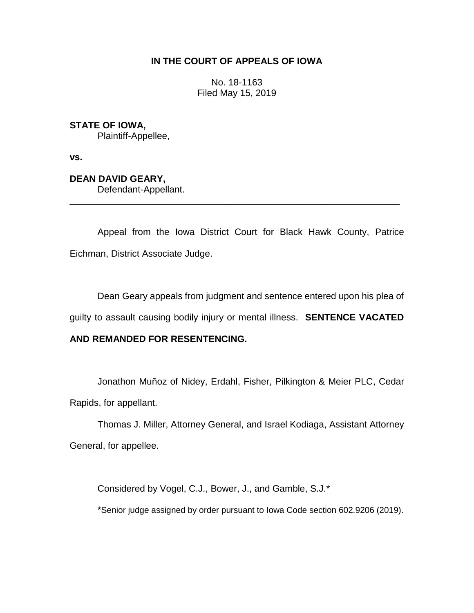## **IN THE COURT OF APPEALS OF IOWA**

No. 18-1163 Filed May 15, 2019

**STATE OF IOWA,**

Plaintiff-Appellee,

**vs.**

**DEAN DAVID GEARY,** Defendant-Appellant.

Appeal from the Iowa District Court for Black Hawk County, Patrice Eichman, District Associate Judge.

\_\_\_\_\_\_\_\_\_\_\_\_\_\_\_\_\_\_\_\_\_\_\_\_\_\_\_\_\_\_\_\_\_\_\_\_\_\_\_\_\_\_\_\_\_\_\_\_\_\_\_\_\_\_\_\_\_\_\_\_\_\_\_\_

Dean Geary appeals from judgment and sentence entered upon his plea of guilty to assault causing bodily injury or mental illness. **SENTENCE VACATED** 

## **AND REMANDED FOR RESENTENCING.**

Jonathon Muñoz of Nidey, Erdahl, Fisher, Pilkington & Meier PLC, Cedar Rapids, for appellant.

Thomas J. Miller, Attorney General, and Israel Kodiaga, Assistant Attorney General, for appellee.

Considered by Vogel, C.J., Bower, J., and Gamble, S.J.\*

\*Senior judge assigned by order pursuant to Iowa Code section 602.9206 (2019).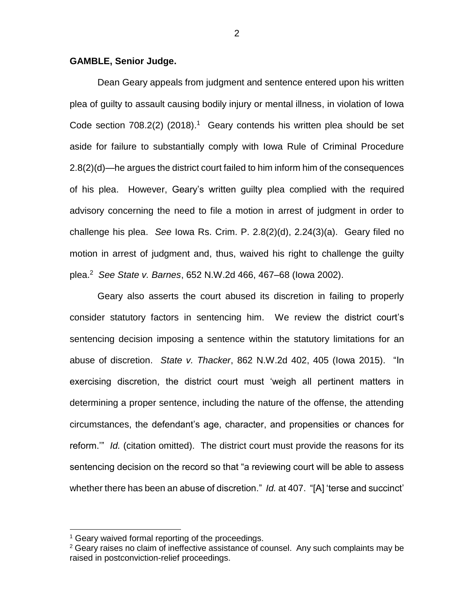## **GAMBLE, Senior Judge.**

Dean Geary appeals from judgment and sentence entered upon his written plea of guilty to assault causing bodily injury or mental illness, in violation of Iowa Code section 708.2(2) (2018).<sup>1</sup> Geary contends his written plea should be set aside for failure to substantially comply with Iowa Rule of Criminal Procedure 2.8(2)(d)—he argues the district court failed to him inform him of the consequences of his plea. However, Geary's written guilty plea complied with the required advisory concerning the need to file a motion in arrest of judgment in order to challenge his plea. *See* Iowa Rs. Crim. P. 2.8(2)(d), 2.24(3)(a). Geary filed no motion in arrest of judgment and, thus, waived his right to challenge the guilty plea.<sup>2</sup> *See State v. Barnes*, 652 N.W.2d 466, 467–68 (Iowa 2002).

Geary also asserts the court abused its discretion in failing to properly consider statutory factors in sentencing him. We review the district court's sentencing decision imposing a sentence within the statutory limitations for an abuse of discretion. *State v. Thacker*, 862 N.W.2d 402, 405 (Iowa 2015). "In exercising discretion, the district court must 'weigh all pertinent matters in determining a proper sentence, including the nature of the offense, the attending circumstances, the defendant's age, character, and propensities or chances for reform.'" *Id.* (citation omitted). The district court must provide the reasons for its sentencing decision on the record so that "a reviewing court will be able to assess whether there has been an abuse of discretion." *Id.* at 407. "[A] 'terse and succinct'

 $\overline{a}$ 

<sup>&</sup>lt;sup>1</sup> Geary waived formal reporting of the proceedings.

 $2$  Geary raises no claim of ineffective assistance of counsel. Any such complaints may be raised in postconviction-relief proceedings.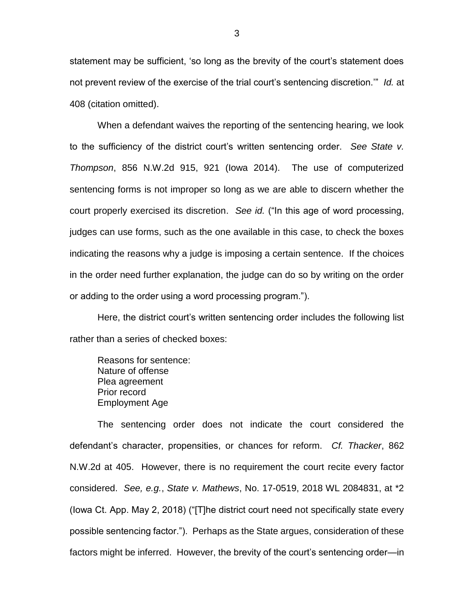statement may be sufficient, 'so long as the brevity of the court's statement does not prevent review of the exercise of the trial court's sentencing discretion.'" *Id.* at 408 (citation omitted).

When a defendant waives the reporting of the sentencing hearing, we look to the sufficiency of the district court's written sentencing order. *See State v. Thompson*, 856 N.W.2d 915, 921 (Iowa 2014). The use of computerized sentencing forms is not improper so long as we are able to discern whether the court properly exercised its discretion. *See id.* ("In this age of word processing, judges can use forms, such as the one available in this case, to check the boxes indicating the reasons why a judge is imposing a certain sentence. If the choices in the order need further explanation, the judge can do so by writing on the order or adding to the order using a word processing program.").

Here, the district court's written sentencing order includes the following list rather than a series of checked boxes:

Reasons for sentence: Nature of offense Plea agreement Prior record Employment Age

The sentencing order does not indicate the court considered the defendant's character, propensities, or chances for reform. *Cf. Thacker*, 862 N.W.2d at 405. However, there is no requirement the court recite every factor considered. *See, e.g.*, *State v. Mathews*, No. 17-0519, 2018 WL 2084831, at \*2 (Iowa Ct. App. May 2, 2018) ("[T]he district court need not specifically state every possible sentencing factor."). Perhaps as the State argues, consideration of these factors might be inferred. However, the brevity of the court's sentencing order—in